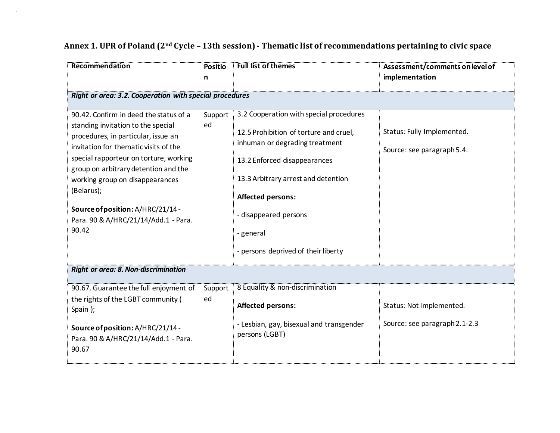| Recommendation                                                                                                                                                                                                                                                                                                                                                                        | <b>Positio</b><br>n | <b>Full list of themes</b>                                                                                                                                                                                                                                                                      | Assessment/comments on level of<br>implementation         |  |  |  |
|---------------------------------------------------------------------------------------------------------------------------------------------------------------------------------------------------------------------------------------------------------------------------------------------------------------------------------------------------------------------------------------|---------------------|-------------------------------------------------------------------------------------------------------------------------------------------------------------------------------------------------------------------------------------------------------------------------------------------------|-----------------------------------------------------------|--|--|--|
| Right or area: 3.2. Cooperation with special procedures                                                                                                                                                                                                                                                                                                                               |                     |                                                                                                                                                                                                                                                                                                 |                                                           |  |  |  |
| 90.42. Confirm in deed the status of a<br>standing invitation to the special<br>procedures, in particular, issue an<br>invitation for thematic visits of the<br>special rapporteur on torture, working<br>group on arbitrary detention and the<br>working group on disappearances<br>(Belarus);<br>Source of position: A/HRC/21/14 -<br>Para. 90 & A/HRC/21/14/Add.1 - Para.<br>90.42 | Support :<br>ed     | 3.2 Cooperation with special procedures<br>12.5 Prohibition of torture and cruel,<br>inhuman or degrading treatment<br>13.2 Enforced disappearances<br>13.3 Arbitrary arrest and detention<br><b>Affected persons:</b><br>disappeared persons<br>general<br>- persons deprived of their liberty | Status: Fully Implemented.<br>Source: see paragraph 5.4.  |  |  |  |
| Right or area: 8. Non-discrimination                                                                                                                                                                                                                                                                                                                                                  |                     |                                                                                                                                                                                                                                                                                                 |                                                           |  |  |  |
| 90.67. Guarantee the full enjoyment of<br>the rights of the LGBT community (<br>Spain);<br>Source of position: A/HRC/21/14 -<br>Para. 90 & A/HRC/21/14/Add.1 - Para.<br>90.67                                                                                                                                                                                                         | Support<br>ed       | 8 Equality & non-discrimination<br><b>Affected persons:</b><br>- Lesbian, gay, bisexual and transgender<br>persons (LGBT)                                                                                                                                                                       | Status: Not Implemented.<br>Source: see paragraph 2.1-2.3 |  |  |  |

## **Annex 1. UPR of Poland (2nd Cycle – 13th session) - Thematic list of recommendations pertaining to civic space**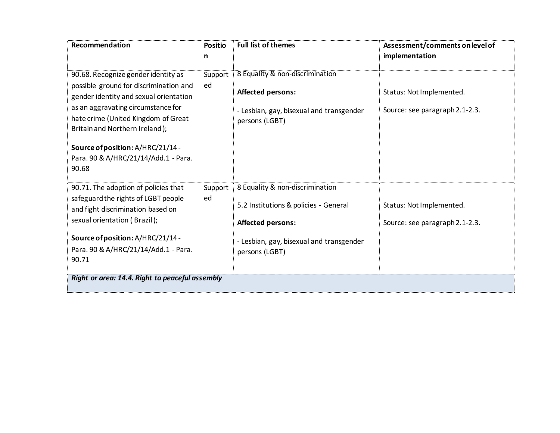| Recommendation                                                                                                                                                                                                                                                                                                               | <b>Positio</b><br>n | <b>Full list of themes</b>                                                                                                                                         | Assessment/comments on level of<br>implementation          |  |  |
|------------------------------------------------------------------------------------------------------------------------------------------------------------------------------------------------------------------------------------------------------------------------------------------------------------------------------|---------------------|--------------------------------------------------------------------------------------------------------------------------------------------------------------------|------------------------------------------------------------|--|--|
| 90.68. Recognize gender identity as<br>possible ground for discrimination and<br>gender identity and sexual orientation<br>as an aggravating circumstance for<br>hate crime (United Kingdom of Great<br>Britain and Northern Ireland);<br>Source of position: A/HRC/21/14 -<br>Para. 90 & A/HRC/21/14/Add.1 - Para.<br>90.68 | Support<br>ed       | 8 Equality & non-discrimination<br><b>Affected persons:</b><br>- Lesbian, gay, bisexual and transgender<br>persons (LGBT)                                          | Status: Not Implemented.<br>Source: see paragraph 2.1-2.3. |  |  |
| 90.71. The adoption of policies that<br>safeguard the rights of LGBT people<br>and fight discrimination based on<br>sexual orientation (Brazil);<br>Source of position: A/HRC/21/14 -<br>Para. 90 & A/HRC/21/14/Add.1 - Para.<br>90.71<br>Right or area: 14.4. Right to peaceful assembly                                    | Support<br>ed       | 8 Equality & non-discrimination<br>5.2 Institutions & policies - General<br><b>Affected persons:</b><br>- Lesbian, gay, bisexual and transgender<br>persons (LGBT) | Status: Not Implemented.<br>Source: see paragraph 2.1-2.3. |  |  |
|                                                                                                                                                                                                                                                                                                                              |                     |                                                                                                                                                                    |                                                            |  |  |